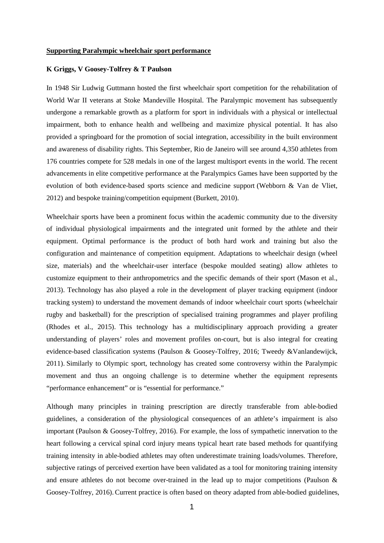## **Supporting Paralympic wheelchair sport performance**

## **K Griggs, V Goosey-Tolfrey & T Paulson**

In 1948 Sir Ludwig Guttmann hosted the first wheelchair sport competition for the rehabilitation of World War II veterans at Stoke Mandeville Hospital. The Paralympic movement has subsequently undergone a remarkable growth as a platform for sport in individuals with a physical or intellectual impairment, both to enhance health and wellbeing and maximize physical potential. It has also provided a springboard for the promotion of social integration, accessibility in the built environment and awareness of disability rights. This September, Rio de Janeiro will see around 4,350 athletes from 176 countries compete for 528 medals in one of the largest multisport events in the world. The recent advancements in elite competitive performance at the Paralympics Games have been supported by the evolution of both evidence-based sports science and medicine support (Webborn & Van de Vliet, 2012) and bespoke training/competition equipment (Burkett, 2010).

Wheelchair sports have been a prominent focus within the academic community due to the diversity of individual physiological impairments and the integrated unit formed by the athlete and their equipment. Optimal performance is the product of both hard work and training but also the configuration and maintenance of competition equipment. Adaptations to wheelchair design (wheel size, materials) and the wheelchair-user interface (bespoke moulded seating) allow athletes to customize equipment to their anthropometrics and the specific demands of their sport (Mason et al., 2013). Technology has also played a role in the development of player tracking equipment (indoor tracking system) to understand the movement demands of indoor wheelchair court sports (wheelchair rugby and basketball) for the prescription of specialised training programmes and player profiling (Rhodes et al., 2015). This technology has a multidisciplinary approach providing a greater understanding of players' roles and movement profiles on-court, but is also integral for creating evidence-based classification systems (Paulson & Goosey-Tolfrey, 2016; Tweedy &Vanlandewijck, 2011). Similarly to Olympic sport, technology has created some controversy within the Paralympic movement and thus an ongoing challenge is to determine whether the equipment represents "performance enhancement" or is "essential for performance."

Although many principles in training prescription are directly transferable from able-bodied guidelines, a consideration of the physiological consequences of an athlete's impairment is also important (Paulson & Goosey-Tolfrey, 2016). For example, the loss of sympathetic innervation to the heart following a cervical spinal cord injury means typical heart rate based methods for quantifying training intensity in able-bodied athletes may often underestimate training loads/volumes. Therefore, subjective ratings of perceived exertion have been validated as a tool for monitoring training intensity and ensure athletes do not become over-trained in the lead up to major competitions (Paulson & Goosey-Tolfrey, 2016).Current practice is often based on theory adapted from able-bodied guidelines,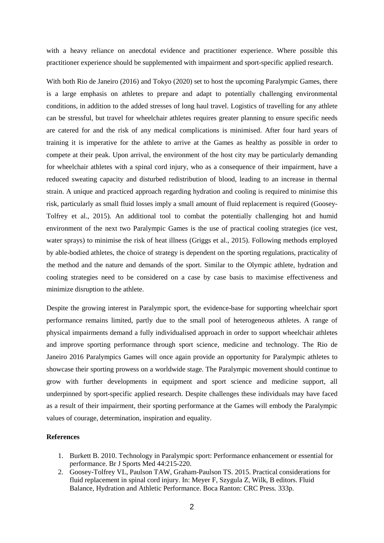with a heavy reliance on anecdotal evidence and practitioner experience. Where possible this practitioner experience should be supplemented with impairment and sport-specific applied research.

With both Rio de Janeiro (2016) and Tokyo (2020) set to host the upcoming Paralympic Games, there is a large emphasis on athletes to prepare and adapt to potentially challenging environmental conditions, in addition to the added stresses of long haul travel. Logistics of travelling for any athlete can be stressful, but travel for wheelchair athletes requires greater planning to ensure specific needs are catered for and the risk of any medical complications is minimised. After four hard years of training it is imperative for the athlete to arrive at the Games as healthy as possible in order to compete at their peak. Upon arrival, the environment of the host city may be particularly demanding for wheelchair athletes with a spinal cord injury, who as a consequence of their impairment, have a reduced sweating capacity and disturbed redistribution of blood, leading to an increase in thermal strain. A unique and practiced approach regarding hydration and cooling is required to minimise this risk, particularly as small fluid losses imply a small amount of fluid replacement is required (Goosey-Tolfrey et al., 2015). An additional tool to combat the potentially challenging hot and humid environment of the next two Paralympic Games is the use of practical cooling strategies (ice vest, water sprays) to minimise the risk of heat illness (Griggs et al., 2015). Following methods employed by able-bodied athletes, the choice of strategy is dependent on the sporting regulations, practicality of the method and the nature and demands of the sport. Similar to the Olympic athlete, hydration and cooling strategies need to be considered on a case by case basis to maximise effectiveness and minimize disruption to the athlete.

Despite the growing interest in Paralympic sport, the evidence-base for supporting wheelchair sport performance remains limited, partly due to the small pool of heterogeneous athletes. A range of physical impairments demand a fully individualised approach in order to support wheelchair athletes and improve sporting performance through sport science, medicine and technology. The Rio de Janeiro 2016 Paralympics Games will once again provide an opportunity for Paralympic athletes to showcase their sporting prowess on a worldwide stage. The Paralympic movement should continue to grow with further developments in equipment and sport science and medicine support, all underpinned by sport-specific applied research. Despite challenges these individuals may have faced as a result of their impairment, their sporting performance at the Games will embody the Paralympic values of courage, determination, inspiration and equality.

## **References**

- 1. Burkett B. 2010. Technology in Paralympic sport: Performance enhancement or essential for performance. Br J Sports Med 44:215-220.
- 2. Goosey-Tolfrey VL, Paulson TAW, Graham-Paulson TS. 2015. Practical considerations for fluid replacement in spinal cord injury. In: Meyer F, Szygula Z, Wilk, B editors. Fluid Balance, Hydration and Athletic Performance. Boca Ranton: CRC Press*.* 333p.